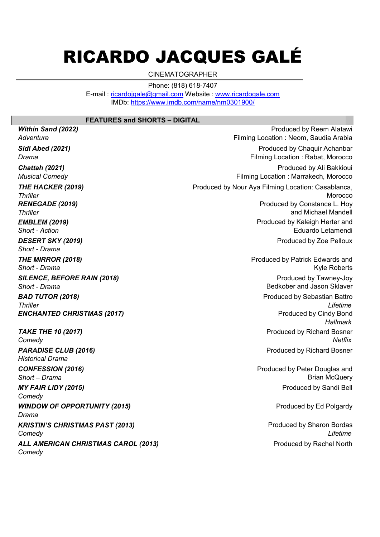## RICARDO JACQUES GALÉ

CINEMATOGRAPHER

Phone: (818) 618-7407

E-mail : ricardojgale@gmail.com Website : www.ricardogale.com IMDb: https://www.imdb.com/name/nm0301900/

## FEATURES and SHORTS – DIGITAL

EMBLEM (2019) Short - Action WINDOW OF OPPORTUNITY (2015) Drama PARADISE CLUB (2016) Historical Drama CONFESSION (2016) Short – Drama MY FAIR LIDY (2015) **Comedy** SILENCE, BEFORE RAIN (2018) Short - Drama BAD TUTOR (2018) **Thriller** ENCHANTED CHRISTMAS (2017) TAKE THE 10 (2017) **Comedy** DESERT SKY (2019) Short - Drama THE MIRROR (2018) Short - Drama THE HACKER (2019) **Thriller** RENEGADE (2019) **Thriller** Sidi Abed (2021) Drama Chattah (2021) Musical Comedy **Adventure** 

Within Sand (2022)

KRISTIN'S CHRISTMAS PAST (2013) **Comedy** ALL AMERICAN CHRISTMAS CAROL (2013)

**Comedy** 

Produced by Ed Polgardy Produced by Sharon Bordas Produced by Richard Bosner Produced by Peter Douglas and Brian McQuery Produced by Sandi Bell Produced by Tawney-Joy Bedkober and Jason Sklaver Produced by Sebastian Battro Lifetime Produced by Cindy Bond **Hallmark** Produced by Richard Bosner **Netflix** Produced by Kaleigh Herter and Eduardo Letamendi Produced by Zoe Pelloux Produced by Patrick Edwards and Kyle Roberts Produced by Nour Aya Filming Location: Casablanca, **Morocco** Produced by Constance L. Hoy and Michael Mandell Produced by Chaquir Achanbar Filming Location : Rabat, Morocco Produced by Ali Bakkioui Filming Location : Marrakech, Morocco Produced by Reem Alatawi Filming Location : Neom, Saudia Arabia

Lifetime Produced by Rachel North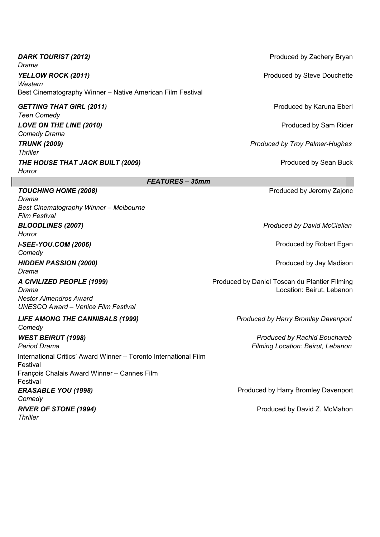| DARK TOURIST (2012)<br>Drama                                                                                                            | Produced by Zachery Bryan                                                  |
|-----------------------------------------------------------------------------------------------------------------------------------------|----------------------------------------------------------------------------|
| YELLOW ROCK (2011)<br>Western                                                                                                           | <b>Produced by Steve Douchette</b>                                         |
| Best Cinematography Winner - Native American Film Festival                                                                              |                                                                            |
| <b>GETTING THAT GIRL (2011)</b><br><b>Teen Comedy</b>                                                                                   | Produced by Karuna Eberl                                                   |
| LOVE ON THE LINE (2010)<br><b>Comedy Drama</b>                                                                                          | Produced by Sam Rider                                                      |
| <b>TRUNK (2009)</b><br><b>Thriller</b>                                                                                                  | <b>Produced by Troy Palmer-Hughes</b>                                      |
| THE HOUSE THAT JACK BUILT (2009)<br>Horror                                                                                              | Produced by Sean Buck                                                      |
| <b>FEATURES - 35mm</b>                                                                                                                  |                                                                            |
| <b>TOUCHING HOME (2008)</b><br>Drama<br>Best Cinematography Winner - Melbourne<br><b>Film Festival</b>                                  | Produced by Jeromy Zajonc                                                  |
| <b>BLOODLINES (2007)</b><br>Horror                                                                                                      | Produced by David McClellan                                                |
| <b>I-SEE-YOU.COM (2006)</b><br>Comedy                                                                                                   | Produced by Robert Egan                                                    |
| <b>HIDDEN PASSION (2000)</b><br>Drama                                                                                                   | Produced by Jay Madison                                                    |
| A CIVILIZED PEOPLE (1999)<br>Drama<br><b>Nestor Almendros Award</b><br><b>UNESCO Award - Venice Film Festival</b>                       | Produced by Daniel Toscan du Plantier Filming<br>Location: Beirut, Lebanon |
| <b>LIFE AMONG THE CANNIBALS (1999)</b><br>Comedy                                                                                        | Produced by Harry Bromley Davenport                                        |
| <b>WEST BEIRUT (1998)</b><br><b>Period Drama</b>                                                                                        | <b>Produced by Rachid Bouchareb</b><br>Filming Location: Beirut, Lebanon   |
| International Critics' Award Winner - Toronto International Film<br>Festival<br>François Chalais Award Winner - Cannes Film<br>Festival |                                                                            |
| <b>ERASABLE YOU (1998)</b><br>Comedy                                                                                                    | Produced by Harry Bromley Davenport                                        |
| <b>RIVER OF STONE (1994)</b><br><b>Thriller</b>                                                                                         | Produced by David Z. McMahon                                               |